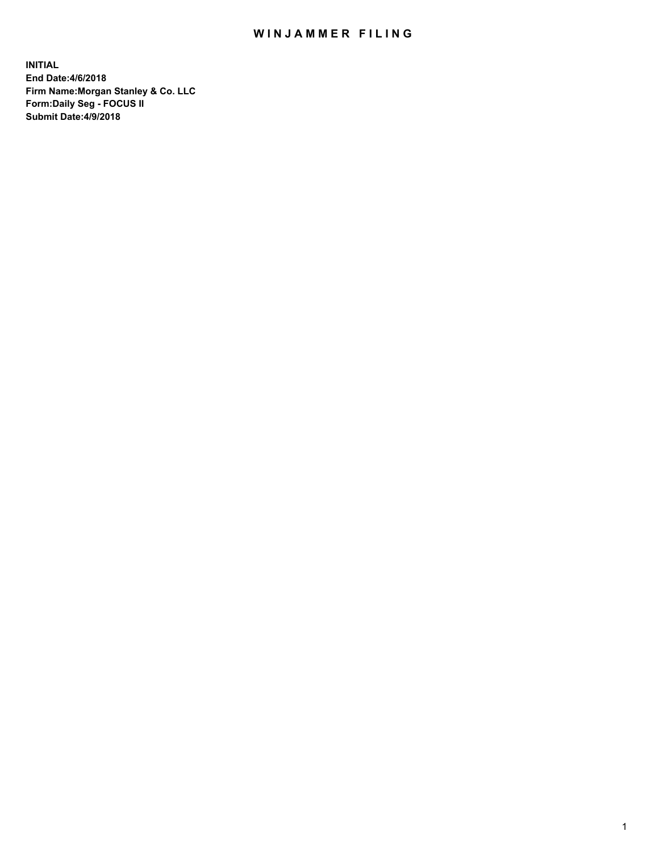## WIN JAMMER FILING

**INITIAL End Date:4/6/2018 Firm Name:Morgan Stanley & Co. LLC Form:Daily Seg - FOCUS II Submit Date:4/9/2018**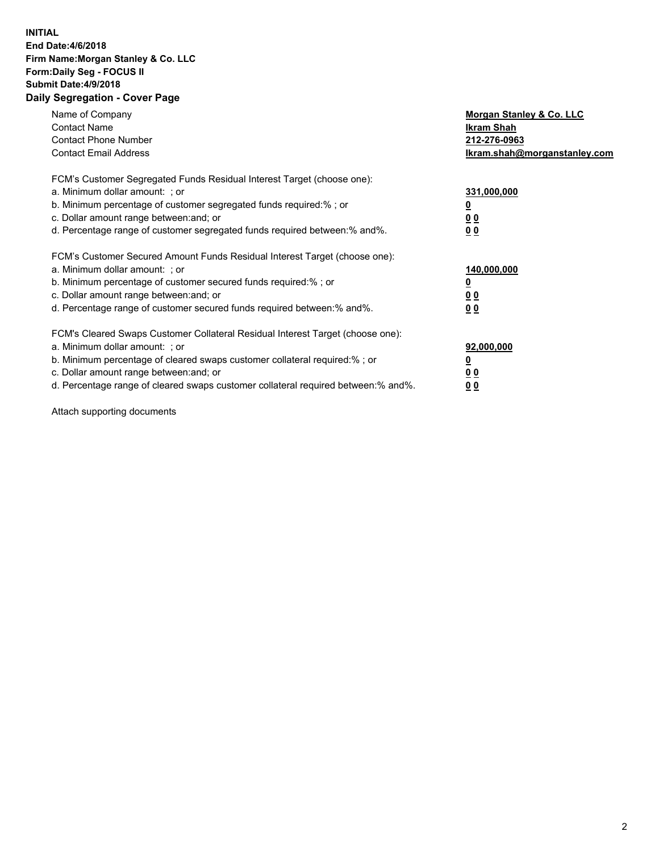## **INITIAL End Date:4/6/2018 Firm Name:Morgan Stanley & Co. LLC Form:Daily Seg - FOCUS II Submit Date:4/9/2018 Daily Segregation - Cover Page**

| Name of Company<br><b>Contact Name</b><br><b>Contact Phone Number</b><br><b>Contact Email Address</b>                                                                                                                                                                                                                          | Morgan Stanley & Co. LLC<br>Ikram Shah<br>212-276-0963<br>Ikram.shah@morganstanley.com |
|--------------------------------------------------------------------------------------------------------------------------------------------------------------------------------------------------------------------------------------------------------------------------------------------------------------------------------|----------------------------------------------------------------------------------------|
| FCM's Customer Segregated Funds Residual Interest Target (choose one):<br>a. Minimum dollar amount: ; or<br>b. Minimum percentage of customer segregated funds required:%; or<br>c. Dollar amount range between: and; or<br>d. Percentage range of customer segregated funds required between:% and%.                          | 331,000,000<br>00<br>0 <sub>0</sub>                                                    |
| FCM's Customer Secured Amount Funds Residual Interest Target (choose one):<br>a. Minimum dollar amount: ; or<br>b. Minimum percentage of customer secured funds required:%; or<br>c. Dollar amount range between: and; or<br>d. Percentage range of customer secured funds required between: % and %.                          | 140,000,000<br>00<br>00                                                                |
| FCM's Cleared Swaps Customer Collateral Residual Interest Target (choose one):<br>a. Minimum dollar amount: ; or<br>b. Minimum percentage of cleared swaps customer collateral required:% ; or<br>c. Dollar amount range between: and; or<br>d. Percentage range of cleared swaps customer collateral required between:% and%. | 92,000,000<br>0 <sub>0</sub><br>0 <sub>0</sub>                                         |

Attach supporting documents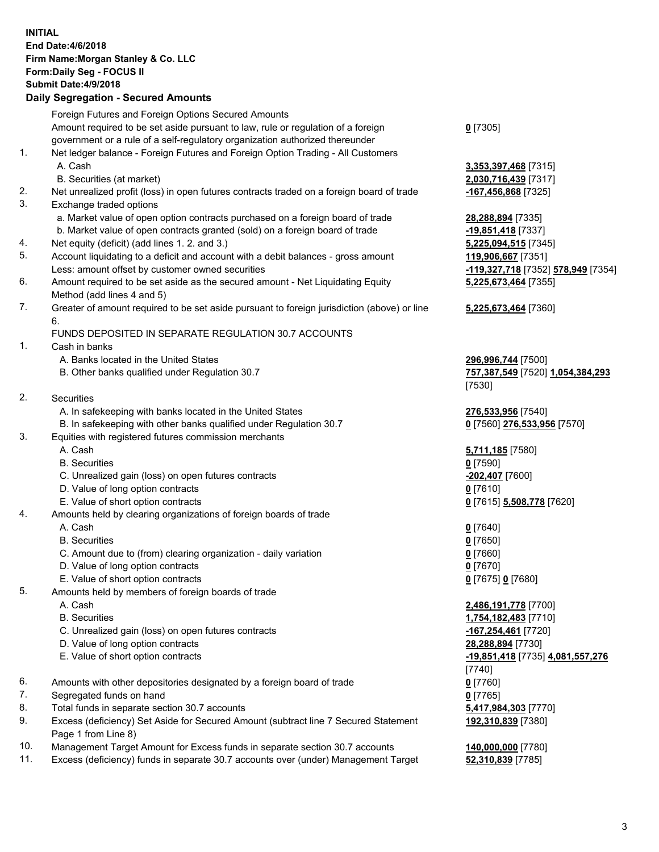## **INITIAL End Date:4/6/2018 Firm Name:Morgan Stanley & Co. LLC Form:Daily Seg - FOCUS II Submit Date:4/9/2018 Daily Segregation - Secured Amounts**

Foreign Futures and Foreign Options Secured Amounts Amount required to be set aside pursuant to law, rule or regulation of a foreign government or a rule of a self-regulatory organization authorized thereunder **0** [7305] 1. Net ledger balance - Foreign Futures and Foreign Option Trading - All Customers A. Cash **3,353,397,468** [7315] B. Securities (at market) **2,030,716,439** [7317] 2. Net unrealized profit (loss) in open futures contracts traded on a foreign board of trade **-167,456,868** [7325] 3. Exchange traded options a. Market value of open option contracts purchased on a foreign board of trade **28,288,894** [7335] b. Market value of open contracts granted (sold) on a foreign board of trade **-19,851,418** [7337] 4. Net equity (deficit) (add lines 1. 2. and 3.) **5,225,094,515** [7345] 5. Account liquidating to a deficit and account with a debit balances - gross amount **119,906,667** [7351] Less: amount offset by customer owned securities **-119,327,718** [7352] **578,949** [7354] 6. Amount required to be set aside as the secured amount - Net Liquidating Equity Method (add lines 4 and 5) 7. Greater of amount required to be set aside pursuant to foreign jurisdiction (above) or line 6. FUNDS DEPOSITED IN SEPARATE REGULATION 30.7 ACCOUNTS 1. Cash in banks A. Banks located in the United States **296,996,744** [7500] B. Other banks qualified under Regulation 30.7 **757,387,549** [7520] **1,054,384,293** [7530] 2. Securities A. In safekeeping with banks located in the United States **276,533,956** [7540] B. In safekeeping with other banks qualified under Regulation 30.7 **0** [7560] **276,533,956** [7570] 3. Equities with registered futures commission merchants A. Cash **5,711,185** [7580] B. Securities **0** [7590] C. Unrealized gain (loss) on open futures contracts **-202,407** [7600] D. Value of long option contracts **0** [7610] E. Value of short option contracts **0** [7615] **5,508,778** [7620] 4. Amounts held by clearing organizations of foreign boards of trade A. Cash **0** [7640] B. Securities **0** [7650] C. Amount due to (from) clearing organization - daily variation **0** [7660] D. Value of long option contracts **0** [7670] E. Value of short option contracts **0** [7675] **0** [7680] 5. Amounts held by members of foreign boards of trade A. Cash **2,486,191,778** [7700] B. Securities **1,754,182,483** [7710] C. Unrealized gain (loss) on open futures contracts **-167,254,461** [7720] D. Value of long option contracts **28,288,894** [7730] E. Value of short option contracts **-19,851,418** [7735] **4,081,557,276** [7740] 6. Amounts with other depositories designated by a foreign board of trade **0** [7760] 7. Segregated funds on hand **0** [7765] 8. Total funds in separate section 30.7 accounts **5,417,984,303** [7770]

9. Excess (deficiency) Set Aside for Secured Amount (subtract line 7 Secured Statement Page 1 from Line 8)

- 10. Management Target Amount for Excess funds in separate section 30.7 accounts **140,000,000** [7780]
- 11. Excess (deficiency) funds in separate 30.7 accounts over (under) Management Target **52,310,839** [7785]

**5,225,673,464** [7355] **5,225,673,464** [7360]

**192,310,839** [7380]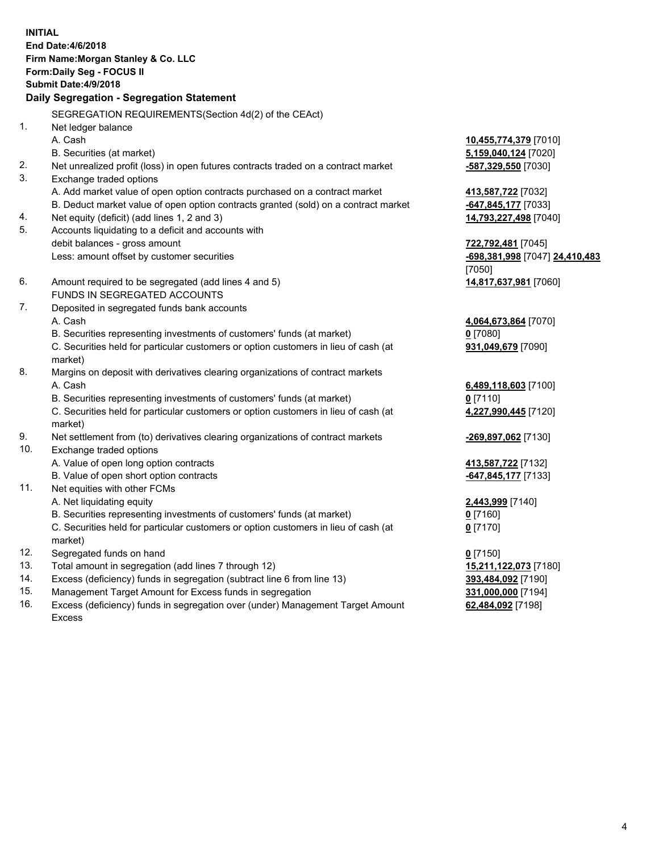**INITIAL End Date:4/6/2018 Firm Name:Morgan Stanley & Co. LLC Form:Daily Seg - FOCUS II Submit Date:4/9/2018 Daily Segregation - Segregation Statement** SEGREGATION REQUIREMENTS(Section 4d(2) of the CEAct) 1. Net ledger balance A. Cash **10,455,774,379** [7010] B. Securities (at market) **5,159,040,124** [7020] 2. Net unrealized profit (loss) in open futures contracts traded on a contract market **-587,329,550** [7030] 3. Exchange traded options A. Add market value of open option contracts purchased on a contract market **413,587,722** [7032] B. Deduct market value of open option contracts granted (sold) on a contract market **-647,845,177** [7033] 4. Net equity (deficit) (add lines 1, 2 and 3) **14,793,227,498** [7040] 5. Accounts liquidating to a deficit and accounts with debit balances - gross amount **722,792,481** [7045] Less: amount offset by customer securities **-698,381,998** [7047] **24,410,483** [7050] 6. Amount required to be segregated (add lines 4 and 5) **14,817,637,981** [7060] FUNDS IN SEGREGATED ACCOUNTS 7. Deposited in segregated funds bank accounts A. Cash **4,064,673,864** [7070] B. Securities representing investments of customers' funds (at market) **0** [7080] C. Securities held for particular customers or option customers in lieu of cash (at market) **931,049,679** [7090] 8. Margins on deposit with derivatives clearing organizations of contract markets A. Cash **6,489,118,603** [7100] B. Securities representing investments of customers' funds (at market) **0** [7110] C. Securities held for particular customers or option customers in lieu of cash (at market) **4,227,990,445** [7120] 9. Net settlement from (to) derivatives clearing organizations of contract markets **-269,897,062** [7130] 10. Exchange traded options A. Value of open long option contracts **413,587,722** [7132] B. Value of open short option contracts **-647,845,177** [7133] 11. Net equities with other FCMs A. Net liquidating equity **2,443,999** [7140] B. Securities representing investments of customers' funds (at market) **0** [7160] C. Securities held for particular customers or option customers in lieu of cash (at market) **0** [7170] 12. Segregated funds on hand **0** [7150] 13. Total amount in segregation (add lines 7 through 12) **15,211,122,073** [7180] 14. Excess (deficiency) funds in segregation (subtract line 6 from line 13) **393,484,092** [7190]

- 15. Management Target Amount for Excess funds in segregation **331,000,000** [7194]
- 16. Excess (deficiency) funds in segregation over (under) Management Target Amount Excess

**62,484,092** [7198]